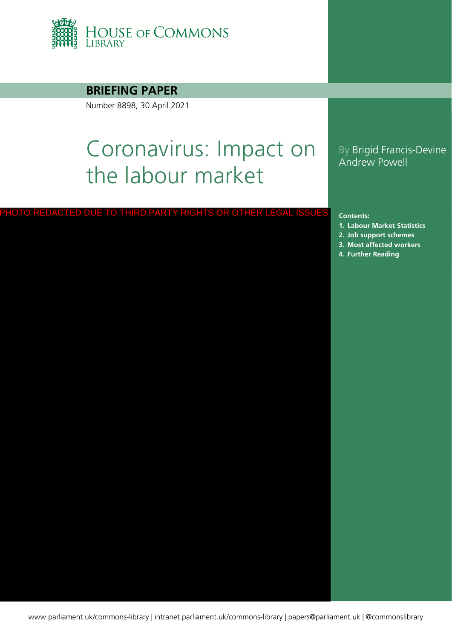

### **BRIEFING PAPER**

Number 8898, 30 April 2021

# Coronavirus: Impact on the labour market

### By Brigid Francis-Devine Andrew Powell

#### **Contents:**

- **1. [Labour Market Statistics](#page-3-0)**
- **2. [Job support schemes](#page-8-0)**
- **3. [Most affected workers](#page-10-0)** FURTO REDACTED DUE TO THIRD PARTY RIGHTS OR OTHER LEGAL ISSUES<br>1. Labour Market S<br>2. Job support sche<br>3. Most affected w<br>4. [Further Reading](#page-15-0)
	-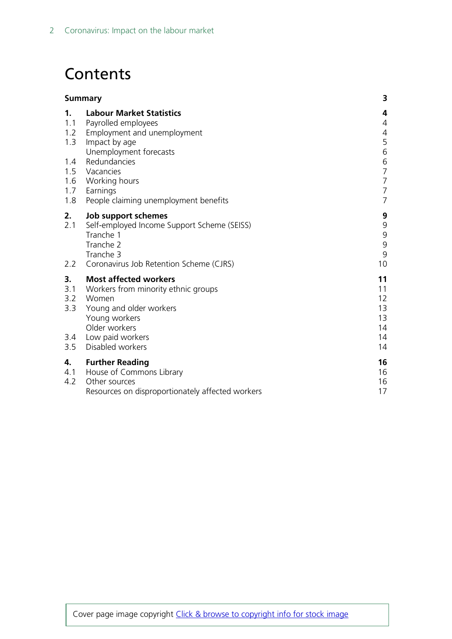## **Contents**

| Summary                 |                                                                                                                                           | 3                                                       |
|-------------------------|-------------------------------------------------------------------------------------------------------------------------------------------|---------------------------------------------------------|
| 1.<br>1.1<br>1.2        | <b>Labour Market Statistics</b><br>Payrolled employees<br>Employment and unemployment                                                     | 4<br>$\overline{4}$<br>4                                |
| 1.3<br>1.4              | Impact by age<br>Unemployment forecasts<br>Redundancies                                                                                   | 5<br>6                                                  |
| 1.5<br>1.6              | Vacancies<br>Working hours                                                                                                                | $\begin{array}{c} 6 \\ 7 \end{array}$<br>$\overline{7}$ |
| 1.7<br>1.8              | Earnings<br>People claiming unemployment benefits                                                                                         | $\overline{7}$<br>$\overline{7}$                        |
| 2.<br>2.1               | Job support schemes<br>Self-employed Income Support Scheme (SEISS)<br>Tranche 1<br>Tranche 2<br>Tranche 3                                 | 9<br>9<br>$\mathsf 9$<br>$\mathsf 9$<br>9               |
| $2.2^{\circ}$           | Coronavirus Job Retention Scheme (CJRS)                                                                                                   | 10                                                      |
| 3.<br>3.1<br>3.2<br>3.3 | <b>Most affected workers</b><br>Workers from minority ethnic groups<br>Women<br>Young and older workers<br>Young workers<br>Older workers | 11<br>11<br>12<br>13<br>13<br>14                        |
| 3.4<br>3.5              | Low paid workers<br>Disabled workers                                                                                                      | 14<br>14                                                |
| 4.<br>4.1<br>4.2        | <b>Further Reading</b><br>House of Commons Library<br>Other sources<br>Resources on disproportionately affected workers                   | 16<br>16<br>16<br>17                                    |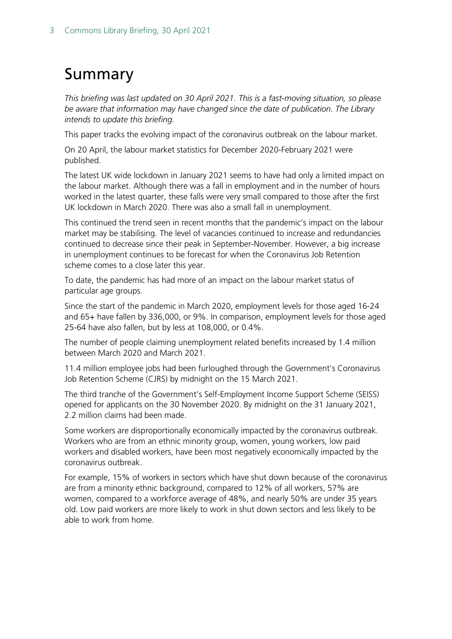## <span id="page-2-0"></span>Summary

*This briefing was last updated on 30 April 2021. This is a fast-moving situation, so please be aware that information may have changed since the date of publication. The Library intends to update this briefing.*

This paper tracks the evolving impact of the coronavirus outbreak on the labour market.

On 20 April, the labour market statistics for December 2020-February 2021 were published.

The latest UK wide lockdown in January 2021 seems to have had only a limited impact on the labour market. Although there was a fall in employment and in the number of hours worked in the latest quarter, these falls were very small compared to those after the first UK lockdown in March 2020. There was also a small fall in unemployment.

This continued the trend seen in recent months that the pandemic's impact on the labour market may be stabilising. The level of vacancies continued to increase and redundancies continued to decrease since their peak in September-November. However, a big increase in unemployment continues to be forecast for when the Coronavirus Job Retention scheme comes to a close later this year.

To date, the pandemic has had more of an impact on the labour market status of particular age groups.

Since the start of the pandemic in March 2020, employment levels for those aged 16-24 and 65+ have fallen by 336,000, or 9%. In comparison, employment levels for those aged 25-64 have also fallen, but by less at 108,000, or 0.4%.

The number of people claiming unemployment related benefits increased by 1.4 million between March 2020 and March 2021.

11.4 million employee jobs had been furloughed through the Government's Coronavirus Job Retention Scheme (CJRS) by midnight on the 15 March 2021.

The third tranche of the Government's Self-Employment Income Support Scheme (SEISS) opened for applicants on the 30 November 2020. By midnight on the 31 January 2021, 2.2 million claims had been made.

Some workers are disproportionally economically impacted by the coronavirus outbreak. Workers who are from an ethnic minority group, women, young workers, low paid workers and disabled workers, have been most negatively economically impacted by the coronavirus outbreak.

For example, 15% of workers in sectors which have shut down because of the coronavirus are from a minority ethnic background, compared to 12% of all workers, 57% are women, compared to a workforce average of 48%, and nearly 50% are under 35 years old. Low paid workers are more likely to work in shut down sectors and less likely to be able to work from home.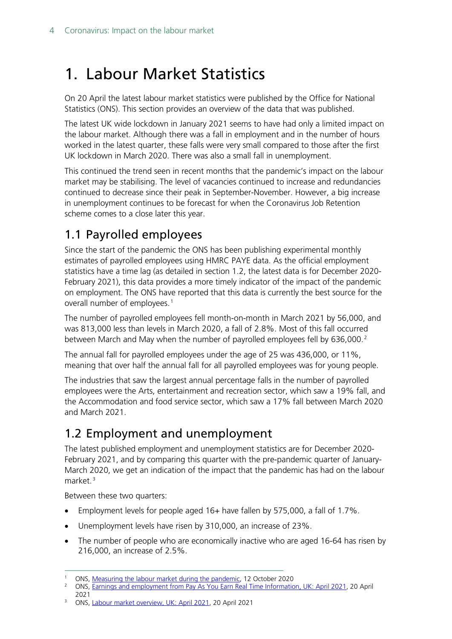## <span id="page-3-0"></span>1. Labour Market Statistics

On 20 April the latest labour market statistics were published by the Office for National Statistics (ONS). This section provides an overview of the data that was published.

The latest UK wide lockdown in January 2021 seems to have had only a limited impact on the labour market. Although there was a fall in employment and in the number of hours worked in the latest quarter, these falls were very small compared to those after the first UK lockdown in March 2020. There was also a small fall in unemployment.

This continued the trend seen in recent months that the pandemic's impact on the labour market may be stabilising. The level of vacancies continued to increase and redundancies continued to decrease since their peak in September-November. However, a big increase in unemployment continues to be forecast for when the Coronavirus Job Retention scheme comes to a close later this year.

## <span id="page-3-1"></span>1.1 Payrolled employees

Since the start of the pandemic the ONS has been publishing experimental monthly estimates of payrolled employees using HMRC PAYE data. As the official employment statistics have a time lag (as detailed in section 1.2, the latest data is for December 2020- February 2021), this data provides a more timely indicator of the impact of the pandemic on employment. The ONS have reported that this data is currently the best source for the overall number of employees.<sup>[1](#page-3-3)</sup>

The number of payrolled employees fell month-on-month in March 2021 by 56,000, and was 813,000 less than levels in March 2020, a fall of 2.8%. Most of this fall occurred between March and May when the number of payrolled employees fell by  $636,000.^2$  $636,000.^2$ 

The annual fall for payrolled employees under the age of 25 was 436,000, or 11%, meaning that over half the annual fall for all payrolled employees was for young people.

The industries that saw the largest annual percentage falls in the number of payrolled employees were the Arts, entertainment and recreation sector, which saw a 19% fall, and the Accommodation and food service sector, which saw a 17% fall between March 2020 and March 2021.

## <span id="page-3-2"></span>1.2 Employment and unemployment

The latest published employment and unemployment statistics are for December 2020- February 2021, and by comparing this quarter with the pre-pandemic quarter of January-March 2020, we get an indication of the impact that the pandemic has had on the labour market. [3](#page-3-5)

Between these two quarters:

- Employment levels for people aged 16+ have fallen by 575,000, a fall of 1.7%.
- Unemployment levels have risen by 310,000, an increase of 23%.
- The number of people who are economically inactive who are aged 16-64 has risen by 216,000, an increase of 2.5%.

<span id="page-3-4"></span><span id="page-3-3"></span><sup>&</sup>lt;sup>1</sup> ONS, <u>Measuring the labour market during the pandemic</u>, 12 October 2020<br><sup>2</sup> ONS, Earnings and omployment from Pay As You Farn Roal Time Informatic

<sup>2</sup> ONS, [Earnings and employment from Pay As You Earn Real Time Information, UK: April 2021,](https://www.ons.gov.uk/employmentandlabourmarket/peopleinwork/earningsandworkinghours/bulletins/earningsandemploymentfrompayasyouearnrealtimeinformationuk/april2021) 20 April 2021

<span id="page-3-5"></span><sup>&</sup>lt;sup>3</sup> ONS, [Labour market overview, UK: April 2021,](https://www.ons.gov.uk/employmentandlabourmarket/peopleinwork/employmentandemployeetypes/bulletins/uklabourmarket/april2021) 20 April 2021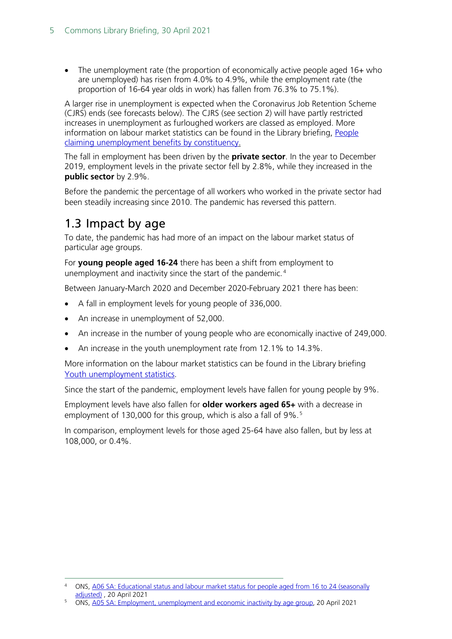• The unemployment rate (the proportion of economically active people aged 16+ who are unemployed) has risen from 4.0% to 4.9%, while the employment rate (the proportion of 16-64 year olds in work) has fallen from 76.3% to 75.1%).

A larger rise in unemployment is expected when the Coronavirus Job Retention Scheme (CJRS) ends (see forecasts below). The CJRS (see section 2) will have partly restricted increases in unemployment as furloughed workers are classed as employed. More information on labour market statistics can be found in the Library briefing, [People](https://commonslibrary.parliament.uk/research-briefings/cbp-8748/)  [claiming unemployment benefits by constituency.](https://commonslibrary.parliament.uk/research-briefings/cbp-8748/)

The fall in employment has been driven by the **private sector**. In the year to December 2019, employment levels in the private sector fell by 2.8%, while they increased in the **public sector** by 2.9%.

Before the pandemic the percentage of all workers who worked in the private sector had been steadily increasing since 2010. The pandemic has reversed this pattern.

### <span id="page-4-0"></span>1.3 Impact by age

To date, the pandemic has had more of an impact on the labour market status of particular age groups.

For **young people aged 16-24** there has been a shift from employment to unemployment and inactivity since the start of the pandemic. [4](#page-4-1)

Between January-March 2020 and December 2020-February 2021 there has been:

- A fall in employment levels for young people of 336,000.
- An increase in unemployment of 52,000.
- An increase in the number of young people who are economically inactive of 249,000.
- An increase in the youth unemployment rate from 12.1% to 14.3%.

More information on the labour market statistics can be found in the Library briefing [Youth unemployment statistics.](https://commonslibrary.parliament.uk/research-briefings/sn05871/)

Since the start of the pandemic, employment levels have fallen for young people by 9%.

Employment levels have also fallen for **older workers aged 65+** with a decrease in employment of 130,000 for this group, which is also a fall of 9%.<sup>[5](#page-4-2)</sup>

In comparison, employment levels for those aged 25-64 have also fallen, but by less at 108,000, or 0.4%.

<span id="page-4-1"></span><sup>4</sup> ONS, [A06 SA: Educational status and labour market status for people aged from 16 to 24 \(seasonally](https://www.ons.gov.uk/employmentandlabourmarket/peopleinwork/employmentandemployeetypes/datasets/educationalstatusandlabourmarketstatusforpeopleagedfrom16to24seasonallyadjusteda06sa)  [adjusted\)](https://www.ons.gov.uk/employmentandlabourmarket/peopleinwork/employmentandemployeetypes/datasets/educationalstatusandlabourmarketstatusforpeopleagedfrom16to24seasonallyadjusteda06sa), 20 April 2021

<span id="page-4-2"></span><sup>5</sup> ONS, [A05 SA: Employment, unemployment and economic inactivity by age group,](https://www.ons.gov.uk/employmentandlabourmarket/peopleinwork/employmentandemployeetypes/datasets/employmentunemploymentandeconomicinactivitybyagegroupseasonallyadjusteda05sa) 20 April 2021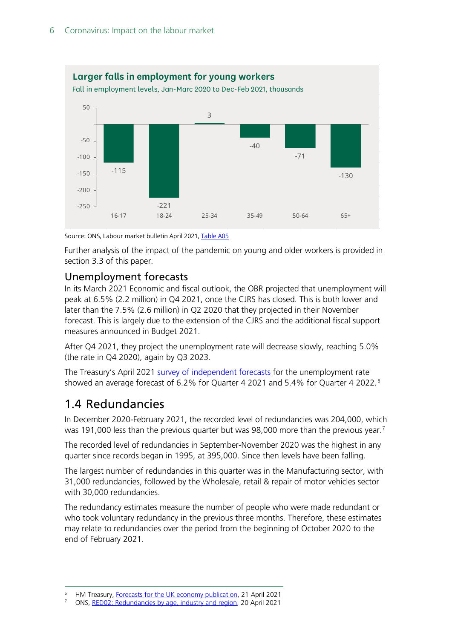

Source: ONS, Labour market bulletin April 2021, [Table A05](https://www.ons.gov.uk/employmentandlabourmarket/peopleinwork/employmentandemployeetypes/datasets/employmentunemploymentandeconomicinactivitybyagegroupseasonallyadjusteda05sa)

Further analysis of the impact of the pandemic on young and older workers is provided in section 3.3 of this paper.

### <span id="page-5-0"></span>Unemployment forecasts

In its March 2021 Economic and fiscal outlook, the OBR projected that unemployment will peak at 6.5% (2.2 million) in Q4 2021, once the CJRS has closed. This is both lower and later than the 7.5% (2.6 million) in Q2 2020 that they projected in their November forecast. This is largely due to the extension of the CJRS and the additional fiscal support measures announced in Budget 2021.

After Q4 2021, they project the unemployment rate will decrease slowly, reaching 5.0% (the rate in Q4 2020), again by Q3 2023.

The Treasury's April 2021 [survey of independent forecasts](https://www.gov.uk/government/collections/data-forecasts) for the unemployment rate showed an average forecast of 6.2% for Quarter 4 2021 and 5.4% for Quarter 4 2022. [6](#page-5-2)

### <span id="page-5-1"></span>1.4 Redundancies

In December 2020-February 2021, the recorded level of redundancies was 204,000, which was 191,000 less than the previous quarter but was 98,000 more than the previous year.<sup>[7](#page-5-3)</sup>

The recorded level of redundancies in September-November 2020 was the highest in any quarter since records began in 1995, at 395,000. Since then levels have been falling.

The largest number of redundancies in this quarter was in the Manufacturing sector, with 31,000 redundancies, followed by the Wholesale, retail & repair of motor vehicles sector with 30,000 redundancies.

The redundancy estimates measure the number of people who were made redundant or who took voluntary redundancy in the previous three months. Therefore, these estimates may relate to redundancies over the period from the beginning of October 2020 to the end of February 2021.

<span id="page-5-2"></span><sup>6</sup> HM Treasury, [Forecasts for the UK economy publication,](https://www.gov.uk/government/collections/data-forecasts#2021) 21 April 2021

<span id="page-5-3"></span><sup>7</sup> ONS, [RED02: Redundancies by age, industry and region,](https://www.ons.gov.uk/employmentandlabourmarket/peoplenotinwork/redundancies/datasets/redundanciesbyindustryagesexandreemploymentratesred02) 20 April 2021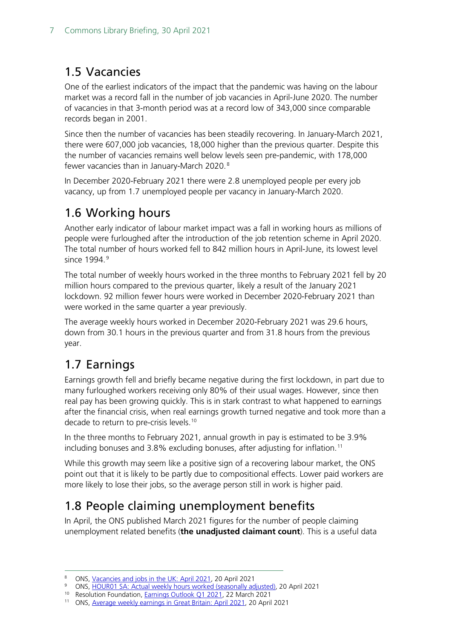### <span id="page-6-0"></span>1.5 Vacancies

One of the earliest indicators of the impact that the pandemic was having on the labour market was a record fall in the number of job vacancies in April-June 2020. The number of vacancies in that 3-month period was at a record low of 343,000 since comparable records began in 2001.

Since then the number of vacancies has been steadily recovering. In January-March 2021, there were 607,000 job vacancies, 18,000 higher than the previous quarter. Despite this the number of vacancies remains well below levels seen pre-pandemic, with 178,000 fewer vacancies than in January-March 2020. [8](#page-6-4)

In December 2020-February 2021 there were 2.8 unemployed people per every job vacancy, up from 1.7 unemployed people per vacancy in January-March 2020.

## <span id="page-6-1"></span>1.6 Working hours

Another early indicator of labour market impact was a fall in working hours as millions of people were furloughed after the introduction of the job retention scheme in April 2020. The total number of hours worked fell to 842 million hours in April-June, its lowest level since 1[9](#page-6-5)94.<sup>9</sup>

The total number of weekly hours worked in the three months to February 2021 fell by 20 million hours compared to the previous quarter, likely a result of the January 2021 lockdown. 92 million fewer hours were worked in December 2020-February 2021 than were worked in the same quarter a year previously.

The average weekly hours worked in December 2020-February 2021 was 29.6 hours, down from 30.1 hours in the previous quarter and from 31.8 hours from the previous year.

## <span id="page-6-2"></span>1.7 Earnings

Earnings growth fell and briefly became negative during the first lockdown, in part due to many furloughed workers receiving only 80% of their usual wages. However, since then real pay has been growing quickly. This is in stark contrast to what happened to earnings after the financial crisis, when real earnings growth turned negative and took more than a decade to return to pre-crisis levels.[10](#page-6-6)

In the three months to February 2021, annual growth in pay is estimated to be 3.9% including bonuses and 3.8% excluding bonuses, after adjusting for inflation.<sup>[11](#page-6-7)</sup>

While this growth may seem like a positive sign of a recovering labour market, the ONS point out that it is likely to be partly due to compositional effects. Lower paid workers are more likely to lose their jobs, so the average person still in work is higher paid.

## <span id="page-6-3"></span>1.8 People claiming unemployment benefits

In April, the ONS published March 2021 figures for the number of people claiming unemployment related benefits (**the unadjusted claimant count**). This is a useful data

ONS, [Vacancies and jobs in the UK: April](https://www.ons.gov.uk/employmentandlabourmarket/peopleinwork/employmentandemployeetypes/bulletins/jobsandvacanciesintheuk/april2021) 2021, 20 April 2021

<span id="page-6-5"></span><span id="page-6-4"></span><sup>9</sup> ONS, [HOUR01 SA: Actual weekly hours worked \(seasonally adjusted\),](https://www.ons.gov.uk/employmentandlabourmarket/peopleinwork/earningsandworkinghours/datasets/actualweeklyhoursworkedseasonallyadjustedhour01sa) 20 April 2021

<sup>&</sup>lt;sup>10</sup> Resolution Foundation, **Earnings Outlook Q1 2021**, 22 March 2021

<span id="page-6-7"></span><span id="page-6-6"></span><sup>11</sup> ONS, [Average weekly earnings in Great Britain: April 2021,](https://www.ons.gov.uk/employmentandlabourmarket/peopleinwork/employmentandemployeetypes/bulletins/averageweeklyearningsingreatbritain/april2021) 20 April 2021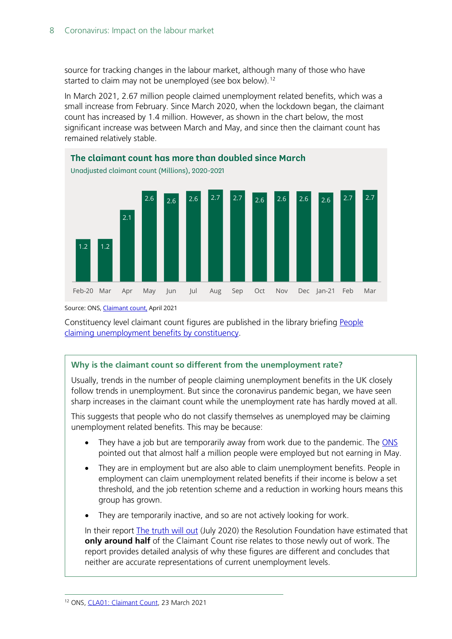source for tracking changes in the labour market, although many of those who have started to claim may not be unemployed (see box below).<sup>[12](#page-7-0)</sup>

In March 2021, 2.67 million people claimed unemployment related benefits, which was a small increase from February. Since March 2020, when the lockdown began, the claimant count has increased by 1.4 million. However, as shown in the chart below, the most significant increase was between March and May, and since then the claimant count has remained relatively stable.



Source: ONS[, Claimant count,](https://www.ons.gov.uk/employmentandlabourmarket/peoplenotinwork/outofworkbenefits/datasets/claimantcountcla01) April 2021

Constituency level claimant count figures are published in the library briefing [People](https://commonslibrary.parliament.uk/research-briefings/cbp-8748/)  [claiming unemployment benefits by constituency.](https://commonslibrary.parliament.uk/research-briefings/cbp-8748/)

#### **Why is the claimant count so different from the unemployment rate?**

Usually, trends in the number of people claiming unemployment benefits in the UK closely follow trends in unemployment. But since the coronavirus pandemic began, we have seen sharp increases in the claimant count while the unemployment rate has hardly moved at all.

This suggests that people who do not classify themselves as unemployed may be claiming unemployment related benefits. This may be because:

- They have a job but are temporarily away from work due to the pandemic. The [ONS](https://blog.ons.gov.uk/2020/07/16/a-covid-19-conundrum-why-are-nearly-half-a-million-employees-not-being-paid/) pointed out that almost half a million people were employed but not earning in May.
- They are in employment but are also able to claim unemployment benefits. People in employment can claim unemployment related benefits if their income is below a set threshold, and the job retention scheme and a reduction in working hours means this group has grown.
- They are temporarily inactive, and so are not actively looking for work.

<span id="page-7-0"></span>In their report **The truth will out (July 2020)** the Resolution Foundation have estimated that **only around half** of the Claimant Count rise relates to those newly out of work. The report provides detailed analysis of why these figures are different and concludes that neither are accurate representations of current unemployment levels.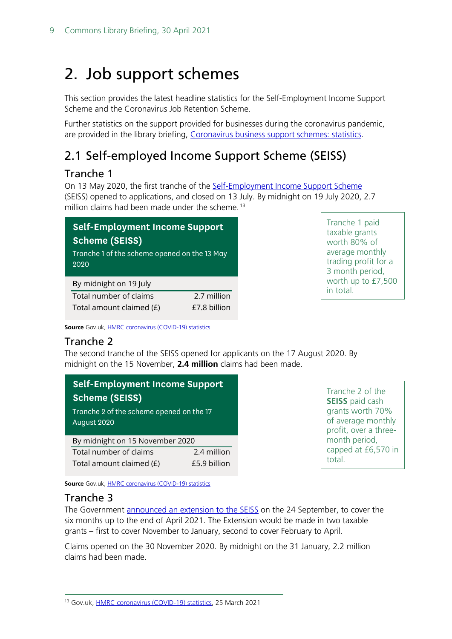## <span id="page-8-0"></span>2. Job support schemes

This section provides the latest headline statistics for the Self-Employment Income Support Scheme and the Coronavirus Job Retention Scheme.

Further statistics on the support provided for businesses during the coronavirus pandemic, are provided in the library briefing, [Coronavirus business support schemes: statistics.](https://commonslibrary.parliament.uk/research-briefings/cbp-8938/)

## <span id="page-8-1"></span>2.1 Self-employed Income Support Scheme (SEISS)

### <span id="page-8-2"></span>Tranche 1

On 13 May 2020, the first tranche of the [Self-Employment Income Support Scheme](https://www.gov.uk/government/news/applications-for-self-employment-income-support-scheme-open-early) (SEISS) opened to applications, and closed on 13 July. By midnight on 19 July 2020, 2.7 million claims had been made under the scheme.<sup>[13](#page-8-5)</sup>

| <b>Self-Employment Income Support</b><br>Scheme (SEISS) |             |  |  |  |
|---------------------------------------------------------|-------------|--|--|--|
| Tranche 1 of the scheme opened on the 13 May<br>2020    |             |  |  |  |
| By midnight on 19 July                                  |             |  |  |  |
| Total number of claims                                  | 2.7 million |  |  |  |

Total amount claimed  $(E)$   $E7.8$  billion

Tranche 1 paid taxable grants worth 80% of average monthly trading profit for a 3 month period, worth up to £7,500 in total.

**Source** Gov.uk, **HMRC** coronavirus (COVID-19) statistics

### <span id="page-8-3"></span>Tranche 2

The second tranche of the SEISS opened for applicants on the 17 August 2020. By midnight on the 15 November, **2.4 million** claims had been made.

| <b>Self-Employment Income Support</b>                   |              |  |
|---------------------------------------------------------|--------------|--|
| <b>Scheme (SEISS)</b>                                   |              |  |
| Tranche 2 of the scheme opened on the 17<br>August 2020 |              |  |
| By midnight on 15 November 2020                         |              |  |
| Total number of claims                                  | 2.4 million  |  |
| Total amount claimed (£)                                | £5.9 billion |  |

Tranche 2 of the **SEISS** paid cash grants worth 70% of average monthly profit, over a threemonth period, capped at £6,570 in total.

**Source** Gov.uk, [HMRC coronavirus \(COVID-19\) statistics](https://www.gov.uk/government/collections/hmrc-coronavirus-covid-19-statistics)

### <span id="page-8-4"></span>Tranche 3

The Government [announced an extension to the SEISS](https://www.gov.uk/government/speeches/chancellor-of-the-exchequer-rishi-sunak-on-the-winter-economy-plan) on the 24 September, to cover the six months up to the end of April 2021. The Extension would be made in two taxable grants – first to cover November to January, second to cover February to April.

Claims opened on the 30 November 2020. By midnight on the 31 January, 2.2 million claims had been made.

<span id="page-8-5"></span><sup>13</sup> Gov.uk, [HMRC coronavirus \(COVID-19\) statistics,](https://www.gov.uk/government/collections/hmrc-coronavirus-covid-19-statistics) 25 March 2021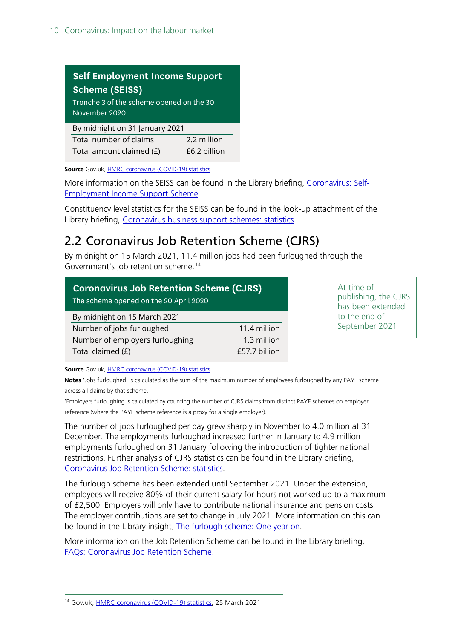| <b>Self Employment Income Support</b>                     |              |  |  |  |
|-----------------------------------------------------------|--------------|--|--|--|
| <b>Scheme (SEISS)</b>                                     |              |  |  |  |
| Tranche 3 of the scheme opened on the 30<br>November 2020 |              |  |  |  |
| By midnight on 31 January 2021                            |              |  |  |  |
| Total number of claims                                    | 2.2 million  |  |  |  |
| Total amount claimed (£)                                  | £6.2 billion |  |  |  |

**Source** Gov.uk, **HMRC** coronavirus (COVID-19) statistics

More information on the SEISS can be found in the Library briefing, [Coronavirus: Self-](https://commonslibrary.parliament.uk/research-briefings/cbp-8879/)[Employment Income Support Scheme.](https://commonslibrary.parliament.uk/research-briefings/cbp-8879/)

Constituency level statistics for the SEISS can be found in the look-up attachment of the Library briefing, [Coronavirus business support schemes: statistics.](https://commonslibrary.parliament.uk/research-briefings/cbp-8938/)

## <span id="page-9-0"></span>2.2 Coronavirus Job Retention Scheme (CJRS)

By midnight on 15 March 2021, 11.4 million jobs had been furloughed through the Government's job retention scheme. [14](#page-9-1)

| <b>Coronavirus Job Retention Scheme (CJRS)</b><br>The scheme opened on the 20 April 2020 |               |  |  |  |
|------------------------------------------------------------------------------------------|---------------|--|--|--|
| By midnight on 15 March 2021                                                             |               |  |  |  |
| Number of jobs furloughed                                                                | 11.4 million  |  |  |  |
| Number of employers furloughing                                                          | 1.3 million   |  |  |  |
| Total claimed (£)                                                                        | £57.7 billion |  |  |  |

At time of publishing, the CJRS has been extended to the end of September 2021

**Source** Gov.uk, **HMRC** coronavirus (COVID-19) statistics

**Notes** 'Jobs furloughed' is calculated as the sum of the maximum number of employees furloughed by any PAYE scheme across all claims by that scheme.

'Employers furloughing is calculated by counting the number of CJRS claims from distinct PAYE schemes on employer reference (where the PAYE scheme reference is a proxy for a single employer).

The number of jobs furloughed per day grew sharply in November to 4.0 million at 31 December. The employments furloughed increased further in January to 4.9 million employments furloughed on 31 January following the introduction of tighter national restrictions. Further analysis of CJRS statistics can be found in the Library briefing, [Coronavirus Job Retention Scheme: statistics.](https://commonslibrary.parliament.uk/research-briefings/cbp-9152/)

The furlough scheme has been extended until September 2021. Under the extension, employees will receive 80% of their current salary for hours not worked up to a maximum of £2,500. Employers will only have to contribute national insurance and pension costs. The employer contributions are set to change in July 2021. More information on this can be found in the Library insight, [The furlough scheme: One year on.](https://commonslibrary.parliament.uk/the-furlough-scheme-one-year-on/)

More information on the Job Retention Scheme can be found in the Library briefing, [FAQs: Coronavirus Job Retention Scheme.](https://commonslibrary.parliament.uk/research-briefings/cbp-8880/)

<span id="page-9-1"></span><sup>14</sup> Gov.uk, [HMRC coronavirus \(COVID-19\) statistics,](https://www.gov.uk/government/collections/hmrc-coronavirus-covid-19-statistics) 25 March 2021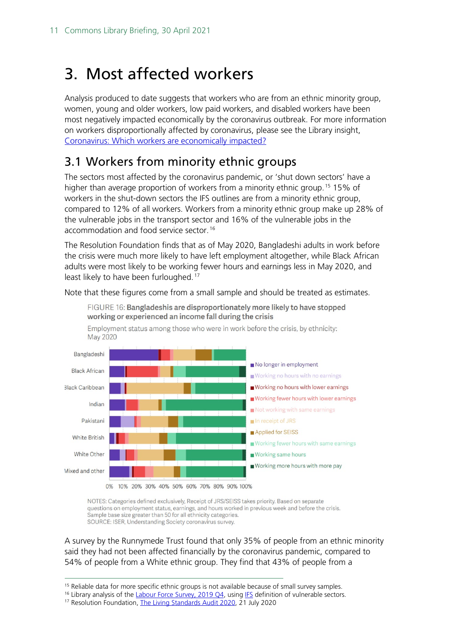## <span id="page-10-0"></span>3. Most affected workers

Analysis produced to date suggests that workers who are from an ethnic minority group, women, young and older workers, low paid workers, and disabled workers have been most negatively impacted economically by the coronavirus outbreak. For more information on workers disproportionally affected by coronavirus, please see the Library insight, [Coronavirus: Which workers are economically impacted?](https://commonslibrary.parliament.uk/economy-business/work-incomes/coronavirus-which-workers-are-economically-impacted/)

### <span id="page-10-1"></span>3.1 Workers from minority ethnic groups

The sectors most affected by the coronavirus pandemic, or 'shut down sectors' have a higher than average proportion of workers from a minority ethnic group. [15](#page-10-2) 15% of workers in the shut-down sectors the IFS outlines are from a minority ethnic group, compared to 12% of all workers. Workers from a minority ethnic group make up 28% of the vulnerable jobs in the transport sector and 16% of the vulnerable jobs in the accommodation and food service sector. [16](#page-10-3)

The Resolution Foundation finds that as of May 2020, Bangladeshi adults in work before the crisis were much more likely to have left employment altogether, while Black African adults were most likely to be working fewer hours and earnings less in May 2020, and least likely to have been furloughed.<sup>[17](#page-10-4)</sup>

Note that these figures come from a small sample and should be treated as estimates.



NOTES: Categories defined exclusively, Receipt of JRS/SEISS takes priority. Based on separate questions on employment status, earnings, and hours worked in previous week and before the crisis. Sample base size greater than 50 for all ethnicity categories. SOURCE: ISER, Understanding Society coronavirus survey.

A survey by the Runnymede Trust found that only 35% of people from an ethnic minority said they had not been affected financially by the coronavirus pandemic, compared to 54% of people from a White ethnic group. They find that 43% of people from a

<sup>&</sup>lt;sup>15</sup> Reliable data for more specific ethnic groups is not available because of small survey samples.

<span id="page-10-4"></span><span id="page-10-3"></span><span id="page-10-2"></span><sup>&</sup>lt;sup>16</sup> Library analysis of the *Labour Force Survey, 2019 Q4*, usin[g IFS](https://www.ifs.org.uk/publications/14791) definition of vulnerable sectors.

<sup>17</sup> Resolution Foundation[, The Living Standards Audit 2020,](https://www.resolutionfoundation.org/publications/the-living-standards-audit-2020/) 21 July 2020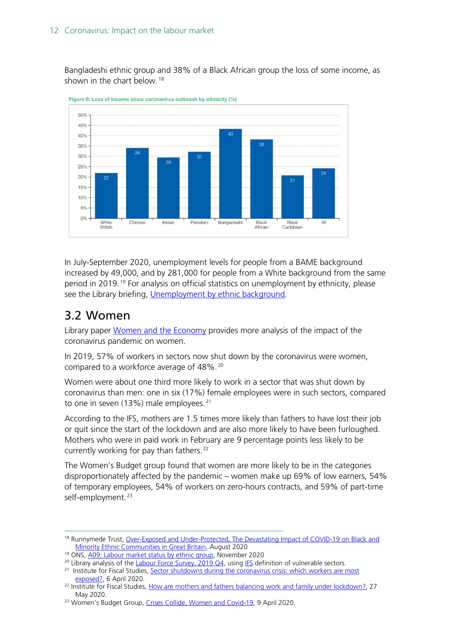Bangladeshi ethnic group and 38% of a Black African group the loss of some income, as shown in the chart below.<sup>[18](#page-11-1)</sup>



Figure 8: Loss of income since coronavirus outbreak by ethnicity (%)

In July-September 2020, unemployment levels for people from a BAME background increased by 49,000, and by 281,000 for people from a White background from the same period in 2019. [19](#page-11-2) For analysis on official statistics on unemployment by ethnicity, please see the Library briefing, [Unemployment by ethnic background.](https://commonslibrary.parliament.uk/research-briefings/sn06385/)

## <span id="page-11-0"></span>3.2 Women

Library paper [Women and the Economy](https://commonslibrary.parliament.uk/research-briefings/sn06838/) provides more analysis of the impact of the coronavirus pandemic on women.

In 2019, 57% of workers in sectors now shut down by the coronavirus were women, compared to a workforce average of 48%.<sup>[20](#page-11-3)</sup>

Women were about one third more likely to work in a sector that was shut down by coronavirus than men: one in six (17%) female employees were in such sectors, compared to one in seven (13%) male employees.<sup>[21](#page-11-4)</sup>

According to the IFS, mothers are 1.5 times more likely than fathers to have lost their job or quit since the start of the lockdown and are also more likely to have been furloughed. Mothers who were in paid work in February are 9 percentage points less likely to be currently working for pay than fathers. [22](#page-11-5)

The Women's Budget group found that women are more likely to be in the categories disproportionately affected by the pandemic – women make up 69% of low earners, 54% of temporary employees, 54% of workers on zero-hours contracts, and 59% of part-time self-employment.<sup>[23](#page-11-6)</sup>

<span id="page-11-1"></span><sup>&</sup>lt;sup>18</sup> Runnymede Trust, Over-Exposed and Under-Protected, The Devastating Impact of COVID-19 on Black and [Minority Ethnic Communities in Great Britain,](https://www.runnymedetrust.org/projects-and-publications/employment-3/overexposed-and-underprotected-covid-19s-impact-on-bme-communities.html) August 2020

<span id="page-11-2"></span><sup>&</sup>lt;sup>19</sup> ONS[, A09: Labour market status by ethnic group,](https://www.ons.gov.uk/employmentandlabourmarket/peopleinwork/employmentandemployeetypes/datasets/labourmarketstatusbyethnicgroupa09) November 2020

<span id="page-11-3"></span><sup>&</sup>lt;sup>20</sup> Library analysis of th[e Labour Force Survey, 2019 Q4,](https://www.ons.gov.uk/surveys/informationforhouseholdsandindividuals/householdandindividualsurveys/labourforcesurvey) usin[g IFS](https://www.ifs.org.uk/publications/14791) definition of vulnerable sectors.

<span id="page-11-4"></span><sup>&</sup>lt;sup>21</sup> Institute for Fiscal Studies, Sector shutdowns during the coronavirus crisis: which workers are most [exposed?,](https://www.ifs.org.uk/publications/14791) 6 April 2020.

<span id="page-11-5"></span><sup>&</sup>lt;sup>22</sup> Institute for Fiscal Studies, How are mothers [and fathers balancing work and family under lockdown?,](https://www.ifs.org.uk/publications/14860) 27 May 2020.

<span id="page-11-6"></span><sup>&</sup>lt;sup>23</sup> Women's Budget Group, *Crises Collide, Women and Covid-19*, 9 April 2020.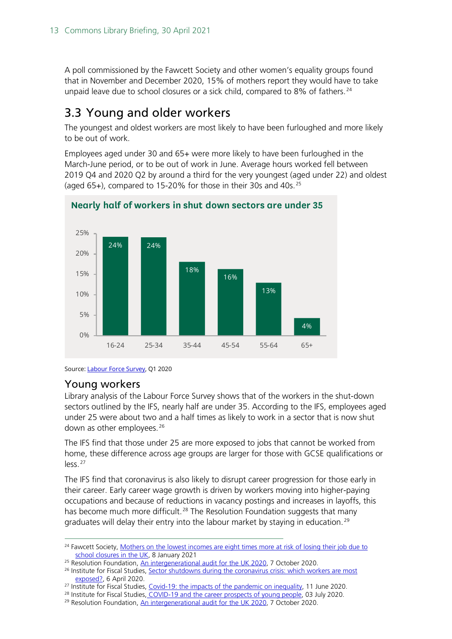A poll commissioned by the Fawcett Society and other women's equality groups found that in November and December 2020, 15% of mothers report they would have to take unpaid leave due to school closures or a sick child, compared to 8% of fathers.<sup>[24](#page-12-2)</sup>

### <span id="page-12-0"></span>3.3 Young and older workers

The youngest and oldest workers are most likely to have been furloughed and more likely to be out of work.

Employees aged under 30 and 65+ were more likely to have been furloughed in the March-June period, or to be out of work in June. Average hours worked fell between 2019 Q4 and 2020 Q2 by around a third for the very youngest (aged under 22) and oldest (aged 65+), compared to 15-20% for those in their 30s and 40s.  $25$ 



**Nearly half of workers in shut down sectors are under 35**

#### <span id="page-12-1"></span>Young workers

Library analysis of the Labour Force Survey shows that of the workers in the shut-down sectors outlined by the IFS, nearly half are under 35. According to the IFS, employees aged under 25 were about two and a half times as likely to work in a sector that is now shut down as other employees. [26](#page-12-4)

The IFS find that those under 25 are more exposed to jobs that cannot be worked from home, these difference across age groups are larger for those with GCSE qualifications or less. [27](#page-12-5)

The IFS find that coronavirus is also likely to disrupt career progression for those early in their career. Early career wage growth is driven by workers moving into higher-paying occupations and because of reductions in vacancy postings and increases in layoffs, this has become much more difficult.<sup>[28](#page-12-6)</sup> The Resolution Foundation suggests that many graduates will delay their entry into the labour market by staying in education.<sup>[29](#page-12-7)</sup>

Source[: Labour Force Survey,](https://ukdataservice.ac.uk/) Q1 2020

<span id="page-12-2"></span><sup>&</sup>lt;sup>24</sup> Fawcett Society, Mothers on the lowest incomes are eight times more at risk of losing their job due to [school closures in the UK,](https://www.fawcettsociety.org.uk/news/mothers-on-the-lowest-incomes-eight-times-more-at-risk-of-losing-their-job-due-to-school-closures-in-the-uk) 8 January 2021

<span id="page-12-3"></span><sup>&</sup>lt;sup>25</sup> Resolution Foundation[, An intergenerational audit for the UK 2020,](https://www.resolutionfoundation.org/publications/intergenerational-audit-uk-2020/) 7 October 2020.

<span id="page-12-4"></span><sup>&</sup>lt;sup>26</sup> Institute for Fiscal Studies, Sector shutdowns during the coronavirus crisis: which workers are most [exposed?,](https://www.ifs.org.uk/publications/14791) 6 April 2020.

<span id="page-12-5"></span><sup>&</sup>lt;sup>27</sup> Institute for Fiscal Studies, *Covid-19: the impacts of the pandemic on inequality*, 11 June 2020.

<sup>&</sup>lt;sup>28</sup> Institute for Fiscal Studies, [COVID-19 and the career prospects of young people,](https://www.ifs.org.uk/publications/14914) 03 July 2020.

<span id="page-12-7"></span><span id="page-12-6"></span><sup>29</sup> Resolution Foundation[, An intergenerational audit for the UK 2020,](https://www.resolutionfoundation.org/publications/intergenerational-audit-uk-2020/) 7 October 2020.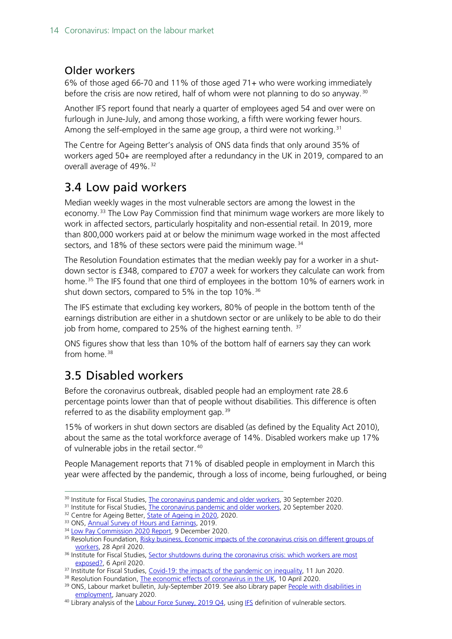### <span id="page-13-0"></span>Older workers

6% of those aged 66-70 and 11% of those aged 71+ who were working immediately before the crisis are now retired, half of whom were not planning to do so anyway.<sup>[30](#page-13-3)</sup>

Another IFS report found that nearly a quarter of employees aged 54 and over were on furlough in June-July, and among those working, a fifth were working fewer hours. Among the self-employed in the same age group, a third were not working.<sup>[31](#page-13-4)</sup>

The Centre for Ageing Better's analysis of ONS data finds that only around 35% of workers aged 50+ are reemployed after a redundancy in the UK in 2019, compared to an overall average of 49%. [32](#page-13-5)

### <span id="page-13-1"></span>3.4 Low paid workers

Median weekly wages in the most vulnerable sectors are among the lowest in the economy. [33](#page-13-6) The Low Pay Commission find that minimum wage workers are more likely to work in affected sectors, particularly hospitality and non-essential retail. In 2019, more than 800,000 workers paid at or below the minimum wage worked in the most affected sectors, and 18% of these sectors were paid the minimum wage.<sup>[34](#page-13-7)</sup>

The Resolution Foundation estimates that the median weekly pay for a worker in a shutdown sector is £348, compared to £707 a week for workers they calculate can work from home. [35](#page-13-8) The IFS found that one third of employees in the bottom 10% of earners work in shut down sectors, compared to 5% in the top 10%. [36](#page-13-9)

The IFS estimate that excluding key workers, 80% of people in the bottom tenth of the earnings distribution are either in a shutdown sector or are unlikely to be able to do their job from home, compared to 25% of the highest earning tenth. <sup>[37](#page-13-10)</sup>

ONS figures show that less than 10% of the bottom half of earners say they can work from home. [38](#page-13-11)

## <span id="page-13-2"></span>3.5 Disabled workers

Before the coronavirus outbreak, disabled people had an employment rate 28.6 percentage points lower than that of people without disabilities. This difference is often referred to as the disability employment gap.  $39$ 

15% of workers in shut down sectors are disabled (as defined by the Equality Act 2010), about the same as the total workforce average of 14%. Disabled workers make up 17% of vulnerable jobs in the retail sector. [40](#page-13-13)

People Management reports that 71% of disabled people in employment in March this year were affected by the pandemic, through a loss of income, being furloughed, or being

<span id="page-13-3"></span><sup>&</sup>lt;sup>30</sup> Institute for Fiscal Studies, *The coronavirus pandemic and older workers*, 30 September 2020.

<span id="page-13-4"></span><sup>&</sup>lt;sup>31</sup> Institute for Fiscal Studies, *The coronavirus pandemic and older workers*, 20 September 2020.

<span id="page-13-5"></span><sup>&</sup>lt;sup>32</sup> Centre for Ageing Better, **State of Ageing in 2020**, 2020.

<span id="page-13-6"></span><sup>33</sup> ONS[, Annual Survey of Hours and Earnings,](https://www.ons.gov.uk/employmentandlabourmarket/peopleinwork/earningsandworkinghours/bulletins/annualsurveyofhoursandearnings/2019) 2019.

<span id="page-13-7"></span><sup>&</sup>lt;sup>34</sup> [Low Pay Commission 2020 Report,](https://www.gov.uk/government/publications/low-pay-commission-report-2020) 9 December 2020.

<span id="page-13-8"></span><sup>&</sup>lt;sup>35</sup> Resolution Foundation, Risky business, Economic impacts of the coronavirus crisis on different groups of [workers,](https://www.resolutionfoundation.org/publications/risky-business/) 28 April 2020.

<span id="page-13-9"></span><sup>36</sup> Institute for Fiscal Studies, Sector shutdowns during the coronavirus crisis: which workers are most [exposed?,](https://www.ifs.org.uk/publications/14791) 6 April 2020.

<span id="page-13-10"></span><sup>&</sup>lt;sup>37</sup> Institute for Fiscal Studies[, Covid-19: the impacts of the pandemic on inequality,](https://www.ifs.org.uk/publications/14879) 11 Jun 2020.

<span id="page-13-11"></span><sup>&</sup>lt;sup>38</sup> Resolution Foundation[, The economic effects of coronavirus in the UK,](https://www.resolutionfoundation.org/publications/the-economic-effects-of-coronavirus-in-the-uk/?utm_source=RF+Mailing+List&utm_campaign=054869a3ee-CORONAVIRUS&utm_medium=email&utm_term=0_c0e8a99f92-054869a3ee-313036597&mc_cid=054869a3ee&mc_eid=7313c218df) 10 April 2020.

<span id="page-13-12"></span><sup>&</sup>lt;sup>39</sup> ONS, Labour market bulletin, July-September 2019. See also Library paper People with disabilities in [employment,](https://commonslibrary.parliament.uk/research-briefings/cbp-7540/) January 2020.

<span id="page-13-13"></span><sup>&</sup>lt;sup>40</sup> Library analysis of the *[Labour Force Survey, 2019](https://www.ons.gov.uk/surveys/informationforhouseholdsandindividuals/householdandindividualsurveys/labourforcesurvey) Q4*, usin[g IFS](https://www.ifs.org.uk/publications/14791) definition of vulnerable sectors.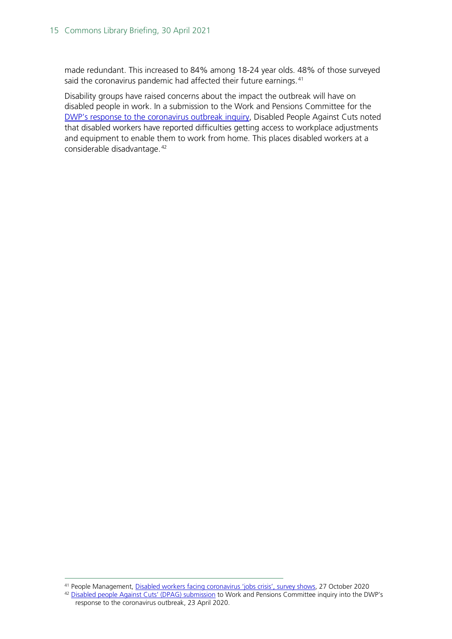made redundant. This increased to 84% among 18-24 year olds. 48% of those surveyed said the coronavirus pandemic had affected their future earnings.<sup>[41](#page-14-0)</sup>

Disability groups have raised concerns about the impact the outbreak will have on disabled people in work. In a submission to the Work and Pensions Committee for the [DWP's response to the coronavirus outbreak](https://committees.parliament.uk/work/130/dwps-response-to-the-coronavirus-outbreak/) inquiry, Disabled People Against Cuts noted that disabled workers have reported difficulties getting access to workplace adjustments and equipment to enable them to work from home. This places disabled workers at a considerable disadvantage. [42](#page-14-1)

<span id="page-14-0"></span><sup>41</sup> People Management, [Disabled workers facing coronavirus 'jobs crisis', survey shows,](https://www.peoplemanagement.co.uk/news/articles/disabled-workers-facing-a-coronavirus-jobs-crisis) 27 October 2020

<span id="page-14-1"></span><sup>42</sup> [Disabled people Against Cuts'](https://committees.parliament.uk/work/130/dwps-response-to-the-coronavirus-outbreak/publications/written-evidence/) (DPAG) submission to Work and Pensions Committee inquiry into the DWP's response to the coronavirus outbreak, 23 April 2020.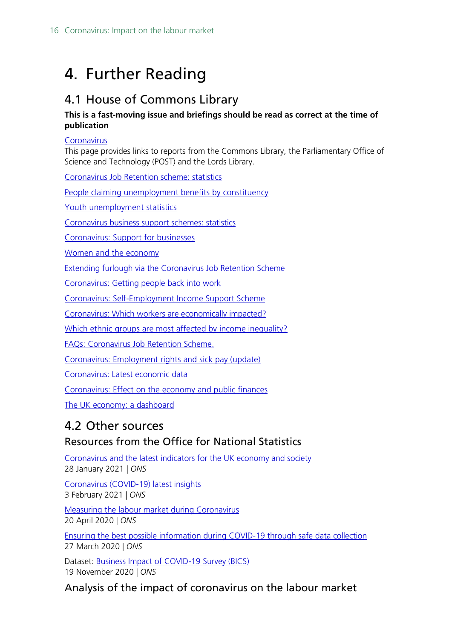## <span id="page-15-0"></span>4. Further Reading

## <span id="page-15-1"></span>4.1 House of Commons Library

#### **This is a fast-moving issue and briefings should be read as correct at the time of publication**

#### **[Coronavirus](https://commonslibrary.parliament.uk/coronavirus/)**

This page provides links to reports from the Commons Library, the Parliamentary Office of Science and Technology (POST) and the Lords Library.

[Coronavirus Job Retention scheme: statistics](https://commonslibrary.parliament.uk/research-briefings/cbp-9152/)

People claiming [unemployment](https://commonslibrary.parliament.uk/research-briefings/cbp-8748/) benefits by constituency

Youth [unemployment](https://commonslibrary.parliament.uk/research-briefings/sn05871/) statistics

[Coronavirus business support schemes: statistics](https://commonslibrary.parliament.uk/research-briefings/cbp-8938/)

[Coronavirus:](https://commonslibrary.parliament.uk/research-briefings/cbp-8847/) Support for businesses

Women and the [economy](https://commonslibrary.parliament.uk/research-briefings/sn06838/)

[Extending furlough via the Coronavirus Job Retention Scheme](https://commonslibrary.parliament.uk/extending-furlough-via-the-coronavirus-job-retention-scheme/)

[Coronavirus: Getting people back into work](https://commonslibrary.parliament.uk/research-briefings/cbp-8965/)

Coronavirus: [Self-Employment](https://commonslibrary.parliament.uk/research-briefings/cbp-8879/) Income Support Scheme

[Coronavirus: Which workers are economically impacted?](https://commonslibrary.parliament.uk/economy-business/work-incomes/coronavirus-which-workers-are-economically-impacted/)

Which ethnic groups are most affected by income [inequality?](https://commonslibrary.parliament.uk/economy-business/work-incomes/income-inequality-by-ethnic-group/)

[FAQs: Coronavirus Job Retention Scheme.](https://commonslibrary.parliament.uk/research-briefings/cbp-8880/)

[Coronavirus:](https://commonslibrary.parliament.uk/social-policy/health/coronavirus-employment-rights-and-sick-pay/) Employment rights and sick pay (update)

[Coronavirus: Latest economic data](https://commonslibrary.parliament.uk/research-briefings/cbp-8878/)

[Coronavirus:](https://commonslibrary.parliament.uk/research-briefings/cbp-8866/) Effect on the economy and public finances

The UK economy: a [dashboard](https://commonslibrary.parliament.uk/economy-business/economy-economy/the-uk-economy/)

## <span id="page-15-2"></span>4.2 Other sources

### Resources from the Office for National Statistics

[Coronavirus and the latest indicators for the UK economy and society](https://www.ons.gov.uk/peoplepopulationandcommunity/healthandsocialcare/conditionsanddiseases/bulletins/coronavirustheukeconomyandsocietyfasterindicators/28january2021) 28 January 2021 | *ONS*

[Coronavirus \(COVID-19\) latest insights](https://www.ons.gov.uk/peoplepopulationandcommunity/healthandsocialcare/conditionsanddiseases/articles/coronaviruscovid19/latestinsights#headlines) 3 February 2021 | *ONS*

[Measuring the labour market during Coronavirus](https://blog.ons.gov.uk/2020/04/20/measuring-the-labour-market-during-coronavirus/?hootPostID=3c33045f828662496843bdd076032734) 20 April 2020 | *ONS*

[Ensuring the best possible information during COVID-19 through safe data collection](https://www.ons.gov.uk/news/statementsandletters/ensuringthebestpossibleinformationduringcovid19throughsafedatacollection) 27 March 2020 | *ONS*

Dataset: [Business Impact of COVID-19 Survey \(BICS\)](https://www.ons.gov.uk/economy/economicoutputandproductivity/output/datasets/businessimpactofcovid19surveybicsresults) 19 November 2020 | *ONS*

### Analysis of the impact of coronavirus on the labour market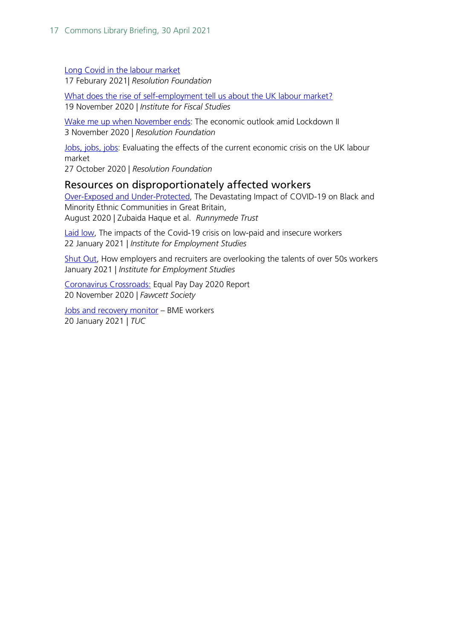[Long Covid in the labour market](https://www.resolutionfoundation.org/publications/long-covid-in-the-labour-market/)

17 Feburary 2021| *Resolution Foundation*

[What does the rise of self-employment tell us about the UK labour market?](https://www.ifs.org.uk/publications?q=&partial_results=1&year_published%5bstart%5d=&year_published%5bend%5d=&author=&page=2) 19 November 2020 | *Institute for Fiscal Studies*

[Wake me up when November ends:](https://www.resolutionfoundation.org/publications/wake-me-up-when-november-ends/) The economic outlook amid Lockdown II 3 November 2020 | *Resolution Foundation*

[Jobs, jobs, jobs:](https://www.resolutionfoundation.org/publications/jobs-jobs-jobs/) Evaluating the effects of the current economic crisis on the UK labour market

27 October 2020 | *Resolution Foundation*

### <span id="page-16-0"></span>Resources on disproportionately affected workers

[Over-Exposed and Under-Protected,](https://www.runnymedetrust.org/projects-and-publications/employment-3/overexposed-and-underprotected-covid-19s-impact-on-bme-communities.html) The Devastating Impact of COVID-19 on Black and Minority Ethnic Communities in Great Britain, August 2020 | Zubaida Haque et al. *Runnymede Trust*

[Laid low,](https://www.employment-studies.co.uk/resource/laid-low) The impacts of the Covid-19 crisis on low-paid and insecure workers 22 January 2021 | *Institute for Employment Studies*

[Shut Out,](https://www.employment-studies.co.uk/resource/shut-out) How employers and recruiters are overlooking the talents of over 50s workers January 2021 | *Institute for Employment Studies*

[Coronavirus Crossroads:](https://www.fawcettsociety.org.uk/coronavirus-crossroads-equal-pay-day-2020-report) Equal Pay Day 2020 Report 20 November 2020 | *Fawcett Society*

[Jobs and recovery monitor](https://www.tuc.org.uk/research-analysis/reports/jobs-and-recovery-monitor-bme-workers) – BME workers 20 January 2021 | *TUC*